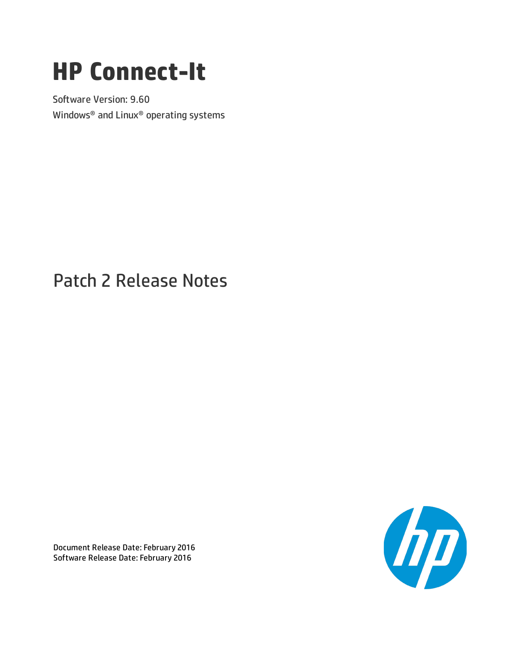# **HP Connect-It**

Software Version: 9.60 Windows® and Linux® operating systems

# Patch 2 Release Notes



Document Release Date: February 2016 Software Release Date: February 2016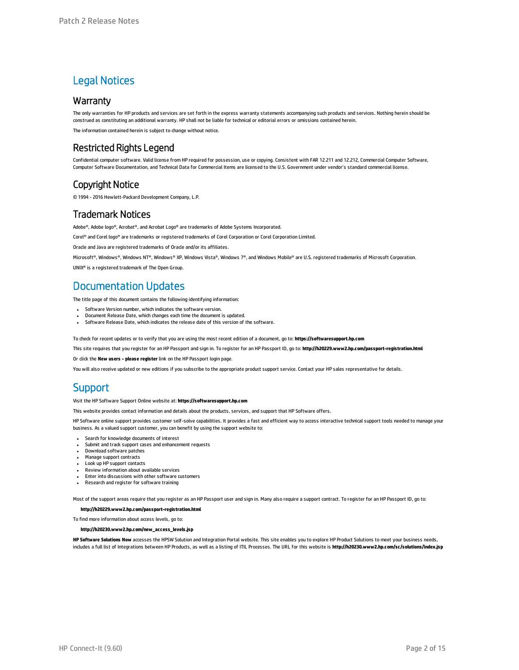### Legal Notices

#### **Warranty**

The only warranties for HP products and services are set forth in the express warranty statements accompanying such products and services. Nothing herein should be construed as constituting an additional warranty. HP shall not be liable for technical or editorial errors or omissions contained herein.

The information contained herein is subject to change without notice.

### Restricted Rights Legend

Confidential computer software. Valid license from HP required for possession, use or copying. Consistent with FAR 12.211 and 12.212, Commercial Computer Software, Computer Software Documentation, and Technical Data for Commercial Items are licensed to the U.S. Government under vendor's standard commercial license.

### Copyright Notice

© 1994 - 2016 Hewlett-Packard Development Company, L.P.

### Trademark Notices

Adobe®, Adobe logo®, Acrobat®, and Acrobat Logo® are trademarks of Adobe Systems Incorporated.

Corel® and Corel logo® are trademarks or registered trademarks of Corel Corporation or Corel Corporation Limited.

Oracle and Java are registered trademarks of Oracle and/or its affiliates.

Microsoft®, Windows®, Windows NT®, Windows® XP, Windows Vista®, Windows 7®, and Windows Mobile® are U.S. registered trademarks of Microsoft Corporation.

UNIX® is a registered trademark of The Open Group.

### Documentation Updates

The title page of this document contains the following identifying information:

- Software Version number, which indicates the software version.
- <sup>l</sup> Document Release Date, which changes each time the document is updated.
- Software Release Date, which indicates the release date of this version of the software.

To check for recent updates or to verify that you are using the most recent edition of a document, go to: **https://softwaresupport.hp.com**

This site requires that you register for an HP Passport and sign in. To register for an HP Passport ID, go to: **http://h20229.www2.hp.com/passport-registration.html**

Or click the **New users - please register** link on the HP Passport login page.

You will also receive updated or new editions if you subscribe to the appropriate product support service. Contact your HP sales representative for details.

### **Support**

#### Visit the HP Software Support Online website at: **https://softwaresupport.hp.com**

This website provides contact information and details about the products, services, and support that HP Software offers.

HP Software online support provides customer self-solve capabilities. It provides a fast and efficient way to access interactive technical support tools needed to manage your business. As a valued support customer, you can benefit by using the support website to:

- **.** Search for knowledge documents of interest
- Submit and track support cases and enhancement requests
- Download software patches
- Manage support contracts
- Look up HP support contacts
- <sup>l</sup> Review information about available services
- Enter into discussions with other software customers <sup>l</sup> Research and register for software training
- 

Most of the support areas require that you register as an HP Passport user and sign in. Many also require a support contract. To register for an HP Passport ID, go to:

#### **http://h20229.www2.hp.com/passport-registration.html**

To find more information about access levels, go to:

#### **http://h20230.www2.hp.com/new\_access\_levels.jsp**

**HP Software Solutions Now** accesses the HPSW Solution and Integration Portal website. This site enables you to explore HP Product Solutions to meet your business needs, includes a full list of Integrations between HP Products, as well as a listing of ITIL Processes. The URL for this website is **http://h20230.www2.hp.com/sc/solutions/index.jsp**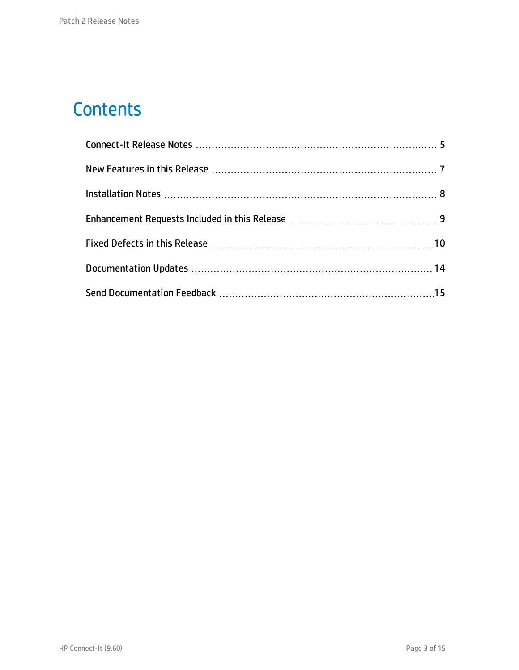# **Contents**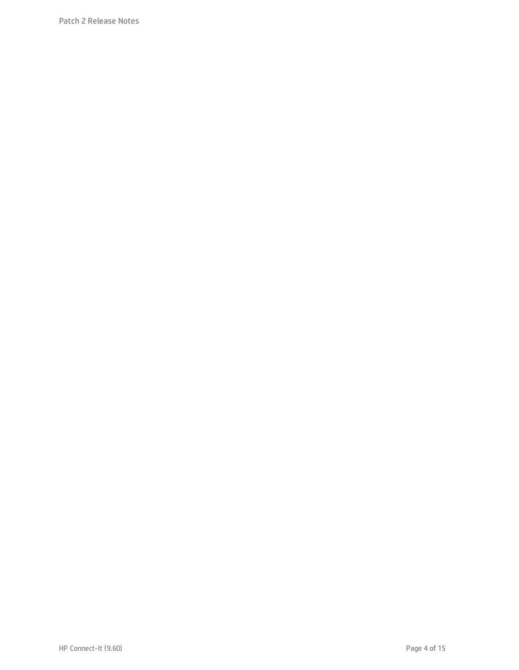Patch 2 Release Notes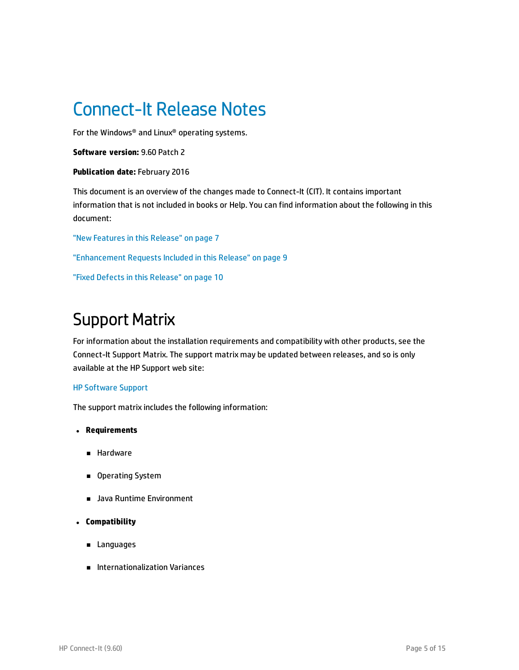# <span id="page-4-0"></span>Connect-It Release Notes

For the Windows® and Linux® operating systems.

**Software version:** 9.60 Patch 2

#### **Publication date:** February 2016

This document is an overview of the changes made to Connect-It (CIT). It contains important information that is not included in books or Help. You can find information about the following in this document:

"New [Features](#page-6-0) in this Release" on page 7 ["Enhancement](#page-8-0) Requests Included in this Release" on page 9 "Fixed Defects in this [Release"](#page-9-0) on page 10

### Support Matrix

For information about the installation requirements and compatibility with other products, see the Connect-It Support Matrix. The support matrix may be updated between releases, and so is only available at the HP Support web site:

#### HP [Software](https://softwaresupport.hp.com/) Support

The support matrix includes the following information:

#### <sup>l</sup> **Requirements**

- **n** Hardware
- **n** Operating System
- **n** Java Runtime Environment

#### <sup>l</sup> **Compatibility**

- **n** Languages
- <sup>n</sup> Internationalization Variances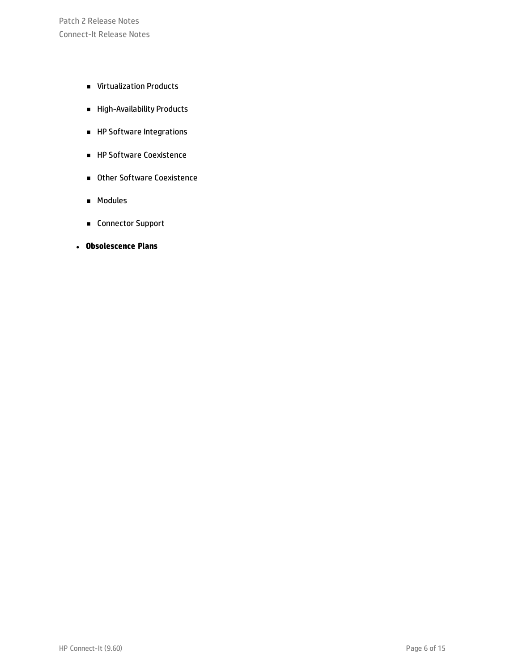Patch 2 Release Notes Connect-It Release Notes

- **n** Virtualization Products
- <sup>n</sup> High-Availability Products
- **n** HP Software Integrations
- **n** HP Software Coexistence
- Other Software Coexistence
- <sup>n</sup> Modules
- Connector Support
- <sup>l</sup> **Obsolescence Plans**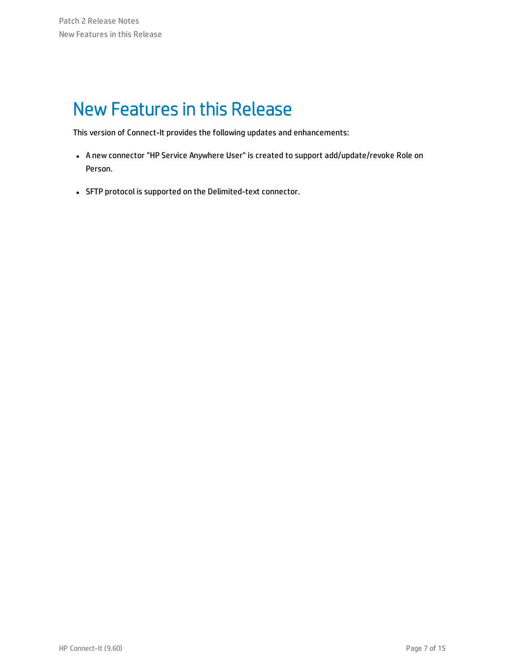# <span id="page-6-0"></span>New Features in this Release

This version of Connect-It provides the following updates and enhancements:

- A new connector "HP Service Anywhere User" is created to support add/update/revoke Role on Person.
- SFTP protocol is supported on the Delimited-text connector.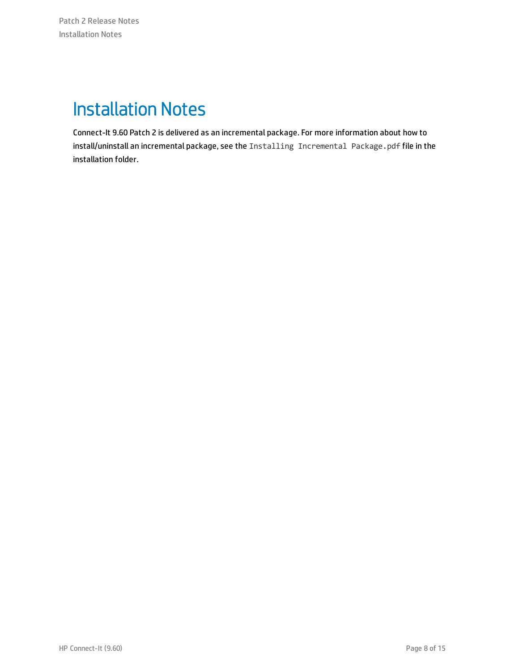# <span id="page-7-0"></span>Installation Notes

Connect-It 9.60 Patch 2 is delivered as an incremental package. For more information about how to install/uninstall an incremental package, see the Installing Incremental Package.pdf file in the installation folder.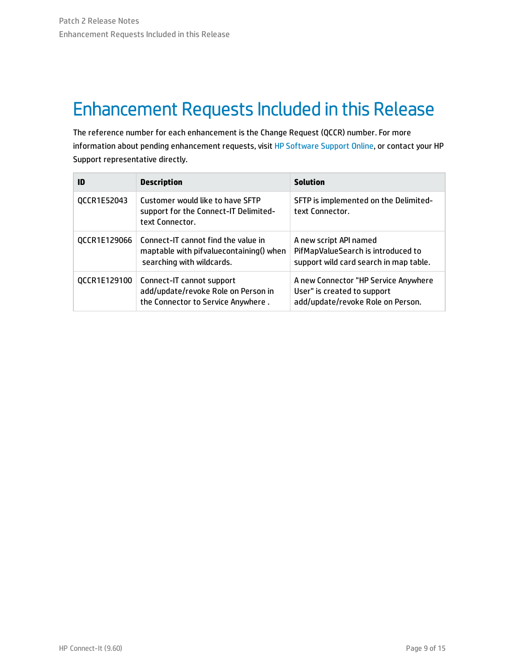# <span id="page-8-0"></span>Enhancement Requests Included in this Release

The reference number for each enhancement is the Change Request (QCCR) number. For more information about pending enhancement requests, visit HP [Software](http://www.hp.com/managementsoftware/support) Support Online, or contact your HP Support representative directly.

| ID           | <b>Description</b>                                                                                          | <b>Solution</b>                                                                                          |
|--------------|-------------------------------------------------------------------------------------------------------------|----------------------------------------------------------------------------------------------------------|
| QCCR1E52043  | Customer would like to have SFTP<br>support for the Connect-IT Delimited-<br>text Connector.                | SFTP is implemented on the Delimited-<br>text Connector.                                                 |
| OCCR1E129066 | Connect-IT cannot find the value in<br>maptable with pifvaluecontaining() when<br>searching with wildcards. | A new script API named<br>PifMapValueSearch is introduced to<br>support wild card search in map table.   |
| QCCR1E129100 | Connect-IT cannot support<br>add/update/revoke Role on Person in<br>the Connector to Service Anywhere.      | A new Connector "HP Service Anywhere<br>User" is created to support<br>add/update/revoke Role on Person. |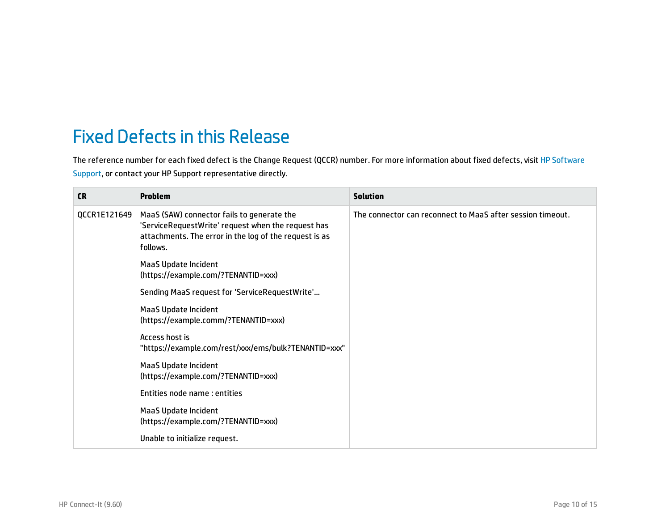### <span id="page-9-0"></span>Fixed Defects in this Release

The reference number for each fixed defect is the Change Request (QCCR) number. For more information about fixed defects, visit HP [Software](https://softwaresupport.hp.com/) [Support](https://softwaresupport.hp.com/), or contact your HP Support representative directly.

| <b>CR</b>    | <b>Problem</b>                                                                                                                                                         | <b>Solution</b>                                            |
|--------------|------------------------------------------------------------------------------------------------------------------------------------------------------------------------|------------------------------------------------------------|
| QCCR1E121649 | MaaS (SAW) connector fails to generate the<br>'ServiceRequestWrite' request when the request has<br>attachments. The error in the log of the request is as<br>follows. | The connector can reconnect to MaaS after session timeout. |
|              | MaaS Update Incident<br>(https://example.com/?TENANTID=xxx)                                                                                                            |                                                            |
|              | Sending MaaS request for 'ServiceRequestWrite'                                                                                                                         |                                                            |
|              | MaaS Update Incident<br>(https://example.comm/?TENANTID=xxx)                                                                                                           |                                                            |
|              | Access host is<br>"https://example.com/rest/xxx/ems/bulk?TENANTID=xxx"                                                                                                 |                                                            |
|              | MaaS Update Incident<br>(https://example.com/?TENANTID=xxx)                                                                                                            |                                                            |
|              | Entities node name: entities                                                                                                                                           |                                                            |
|              | MaaS Update Incident<br>(https://example.com/?TENANTID=xxx)                                                                                                            |                                                            |
|              | Unable to initialize request.                                                                                                                                          |                                                            |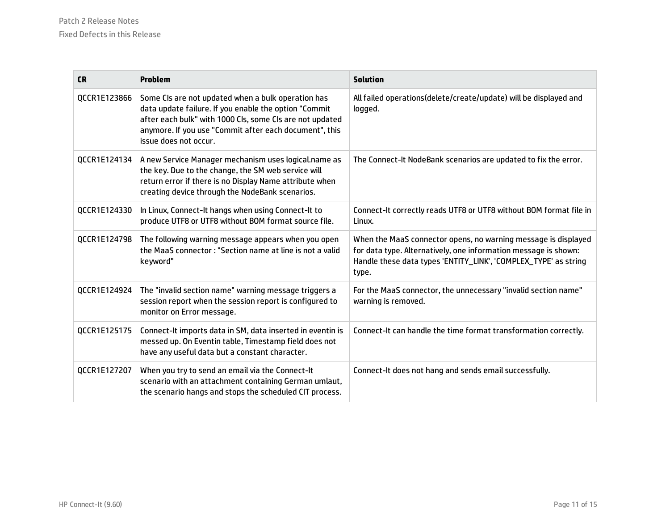| <b>CR</b>    | <b>Problem</b>                                                                                                                                                                                                                                             | <b>Solution</b>                                                                                                                                                                                               |
|--------------|------------------------------------------------------------------------------------------------------------------------------------------------------------------------------------------------------------------------------------------------------------|---------------------------------------------------------------------------------------------------------------------------------------------------------------------------------------------------------------|
| QCCR1E123866 | Some CIs are not updated when a bulk operation has<br>data update failure. If you enable the option "Commit<br>after each bulk" with 1000 CIs, some CIs are not updated<br>anymore. If you use "Commit after each document", this<br>issue does not occur. | All failed operations(delete/create/update) will be displayed and<br>logged.                                                                                                                                  |
| QCCR1E124134 | A new Service Manager mechanism uses logical.name as<br>the key. Due to the change, the SM web service will<br>return error if there is no Display Name attribute when<br>creating device through the NodeBank scenarios.                                  | The Connect-It NodeBank scenarios are updated to fix the error.                                                                                                                                               |
| QCCR1E124330 | In Linux, Connect-It hangs when using Connect-It to<br>produce UTF8 or UTF8 without BOM format source file.                                                                                                                                                | Connect-It correctly reads UTF8 or UTF8 without BOM format file in<br>Linux.                                                                                                                                  |
| QCCR1E124798 | The following warning message appears when you open<br>the MaaS connector: "Section name at line is not a valid<br>keyword"                                                                                                                                | When the MaaS connector opens, no warning message is displayed<br>for data type. Alternatively, one information message is shown:<br>Handle these data types 'ENTITY_LINK', 'COMPLEX_TYPE' as string<br>type. |
| QCCR1E124924 | The "invalid section name" warning message triggers a<br>session report when the session report is configured to<br>monitor on Error message.                                                                                                              | For the MaaS connector, the unnecessary "invalid section name"<br>warning is removed.                                                                                                                         |
| QCCR1E125175 | Connect-It imports data in SM, data inserted in eventin is<br>messed up. On Eventin table, Timestamp field does not<br>have any useful data but a constant character.                                                                                      | Connect-It can handle the time format transformation correctly.                                                                                                                                               |
| QCCR1E127207 | When you try to send an email via the Connect-It<br>scenario with an attachment containing German umlaut,<br>the scenario hangs and stops the scheduled CIT process.                                                                                       | Connect-It does not hang and sends email successfully.                                                                                                                                                        |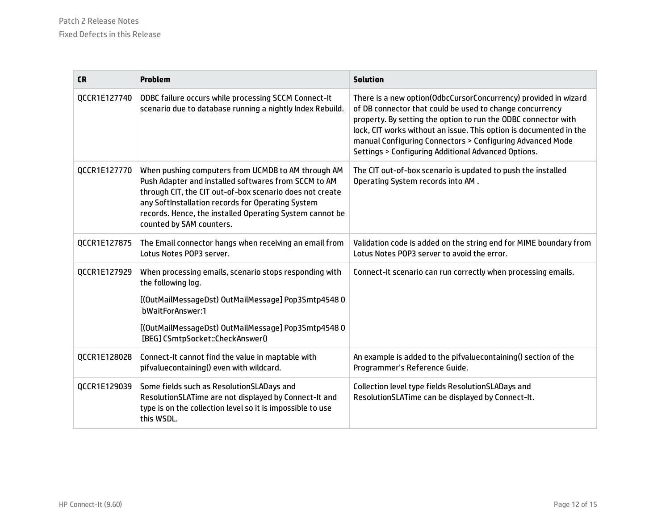| <b>CR</b>    | <b>Problem</b>                                                                                                                                                                                                                                                                                                      | <b>Solution</b>                                                                                                                                                                                                                                                                                                                                                                         |
|--------------|---------------------------------------------------------------------------------------------------------------------------------------------------------------------------------------------------------------------------------------------------------------------------------------------------------------------|-----------------------------------------------------------------------------------------------------------------------------------------------------------------------------------------------------------------------------------------------------------------------------------------------------------------------------------------------------------------------------------------|
| QCCR1E127740 | ODBC failure occurs while processing SCCM Connect-It<br>scenario due to database running a nightly Index Rebuild.                                                                                                                                                                                                   | There is a new option(OdbcCursorConcurrency) provided in wizard<br>of DB connector that could be used to change concurrency<br>property. By setting the option to run the ODBC connector with<br>lock, CIT works without an issue. This option is documented in the<br>manual Configuring Connectors > Configuring Advanced Mode<br>Settings > Configuring Additional Advanced Options. |
| QCCR1E127770 | When pushing computers from UCMDB to AM through AM<br>Push Adapter and installed softwares from SCCM to AM<br>through CIT, the CIT out-of-box scenario does not create<br>any SoftInstallation records for Operating System<br>records. Hence, the installed Operating System cannot be<br>counted by SAM counters. | The CIT out-of-box scenario is updated to push the installed<br>Operating System records into AM.                                                                                                                                                                                                                                                                                       |
| QCCR1E127875 | The Email connector hangs when receiving an email from<br>Lotus Notes POP3 server.                                                                                                                                                                                                                                  | Validation code is added on the string end for MIME boundary from<br>Lotus Notes POP3 server to avoid the error.                                                                                                                                                                                                                                                                        |
| QCCR1E127929 | When processing emails, scenario stops responding with<br>the following log.<br>[(OutMailMessageDst) OutMailMessage] Pop3Smtp4548 0<br>bWaitForAnswer:1<br>[(OutMailMessageDst) OutMailMessage] Pop3Smtp4548 0<br>[BEG] CSmtpSocket::CheckAnswer()                                                                  | Connect-It scenario can run correctly when processing emails.                                                                                                                                                                                                                                                                                                                           |
| QCCR1E128028 | Connect-It cannot find the value in maptable with<br>pifvaluecontaining() even with wildcard.                                                                                                                                                                                                                       | An example is added to the pifvaluecontaining() section of the<br>Programmer's Reference Guide.                                                                                                                                                                                                                                                                                         |
| QCCR1E129039 | Some fields such as ResolutionSLADays and<br>ResolutionSLATime are not displayed by Connect-It and<br>type is on the collection level so it is impossible to use<br>this WSDL.                                                                                                                                      | Collection level type fields ResolutionSLADays and<br>ResolutionSLATime can be displayed by Connect-It.                                                                                                                                                                                                                                                                                 |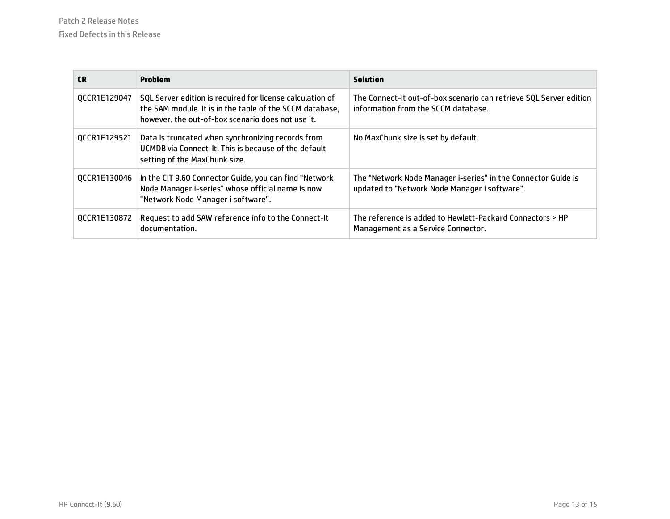| <b>CR</b>    | <b>Problem</b>                                                                                                                                                             | <b>Solution</b>                                                                                                |
|--------------|----------------------------------------------------------------------------------------------------------------------------------------------------------------------------|----------------------------------------------------------------------------------------------------------------|
| QCCR1E129047 | SQL Server edition is required for license calculation of<br>the SAM module. It is in the table of the SCCM database,<br>however, the out-of-box scenario does not use it. | The Connect-It out-of-box scenario can retrieve SQL Server edition<br>information from the SCCM database.      |
| QCCR1E129521 | Data is truncated when synchronizing records from<br>UCMDB via Connect-It. This is because of the default<br>setting of the MaxChunk size.                                 | No MaxChunk size is set by default.                                                                            |
| QCCR1E130046 | In the CIT 9.60 Connector Guide, you can find "Network<br>Node Manager i-series" whose official name is now<br>"Network Node Manager i software".                          | The "Network Node Manager i-series" in the Connector Guide is<br>updated to "Network Node Manager i software". |
| QCCR1E130872 | Request to add SAW reference info to the Connect-It<br>documentation.                                                                                                      | The reference is added to Hewlett-Packard Connectors > HP<br>Management as a Service Connector.                |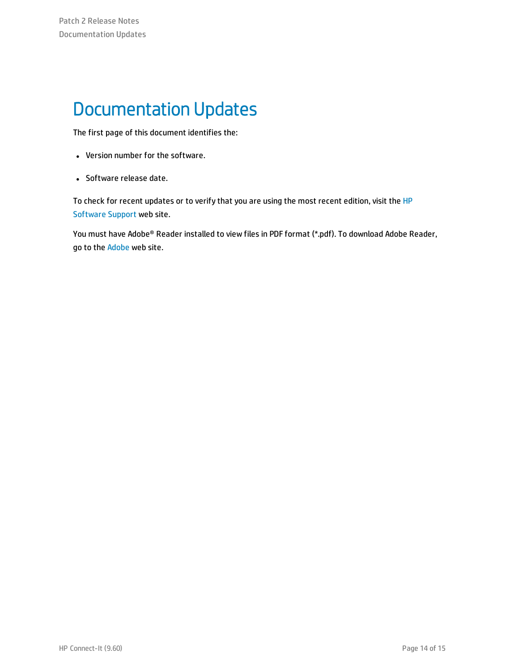### <span id="page-13-0"></span>Documentation Updates

The first page of this document identifies the:

- Version number for the software.
- Software release date.

To check for recent updates or to verify that you are using the most recent edition, visit the [HP](https://softwaresupport.hp.com/) [Software](https://softwaresupport.hp.com/) Support web site.

You must have Adobe® Reader installed to view files in PDF format (\*.pdf). To download Adobe Reader, go to the [Adobe](http://www.adobe.com/) web site.